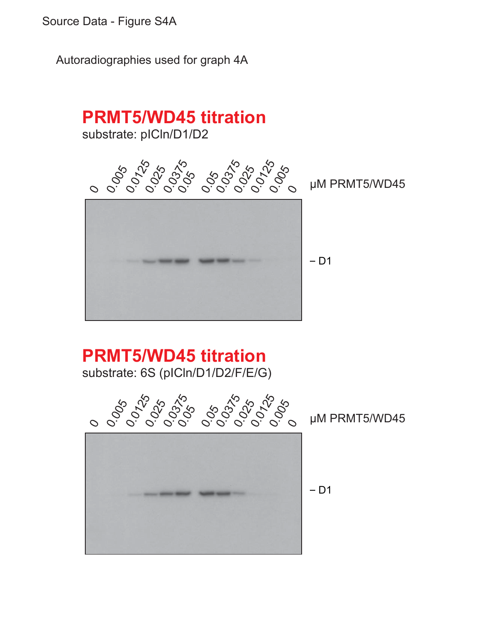Source Data - Figure S4A

Autoradiographies used for graph 4A



 $-D1$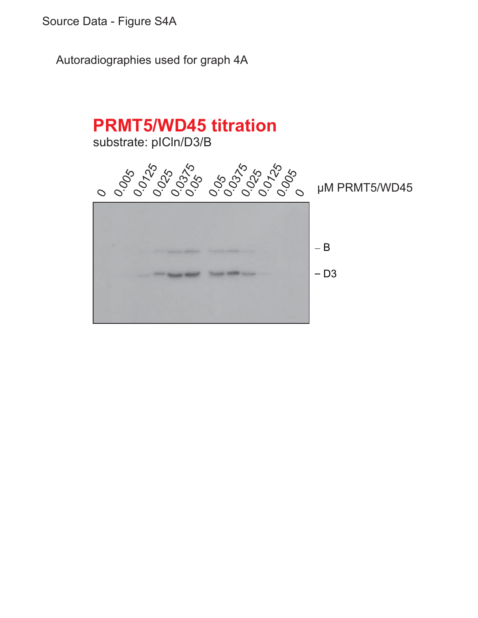Source Data - Figure S4A

Autoradiographies used for graph 4A

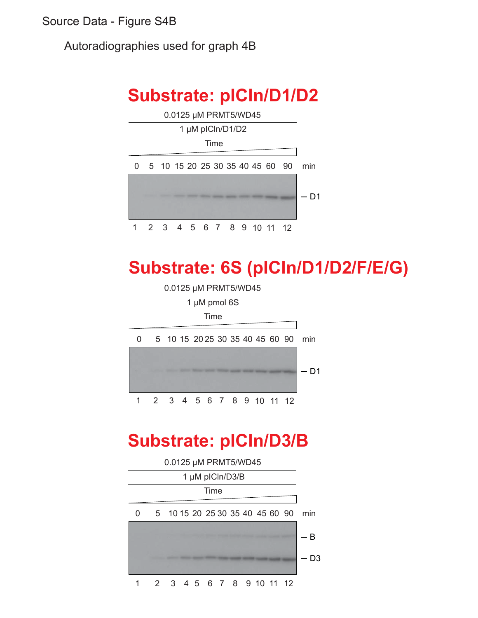Source Data - Figure S4B

Autoradiographies used for graph 4B

## **Substrate: pICln/D1/D2**



# **Substrate: 6S (pICln/D1/D2/F/E/G)**



## **Substrate: pICln/D3/B**

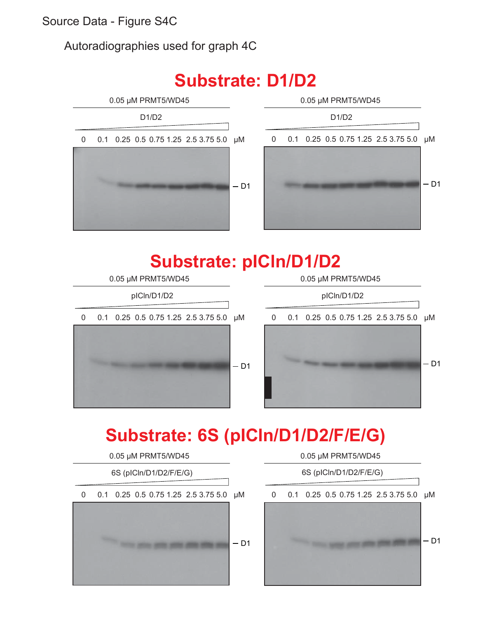Source Data - Figure S4C

Autoradiographies used for graph 4C

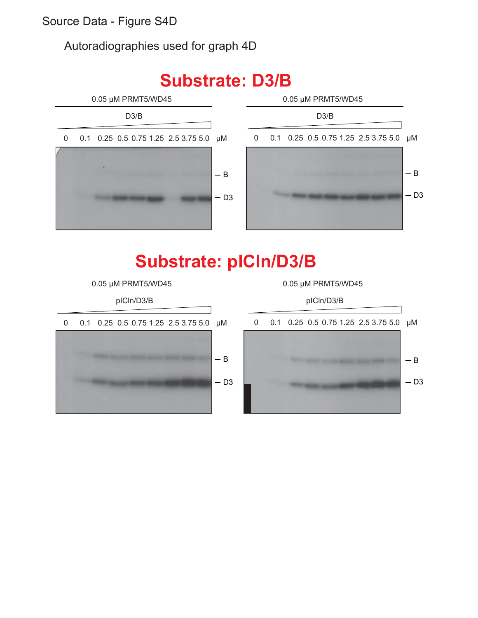Autoradiographies used for graph 4D



# **Substrate: D3/B**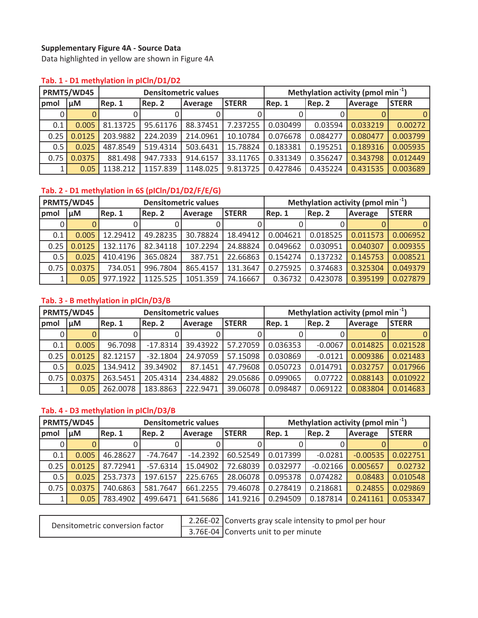#### **Supplementary Figure 4AͲSource Data**

Data highlighted in yellow are shown in Figure 4A

|      | PRMT5/WD45 |          |                   | <b>Densitometric values</b> |              | Methylation activity (pmol min $^{-1}$ ) |          |                |              |  |
|------|------------|----------|-------------------|-----------------------------|--------------|------------------------------------------|----------|----------------|--------------|--|
| pmol | µM         | Rep. 1   | Rep. 2<br>Average |                             | <b>STERR</b> | Rep. 1<br>Rep. 2                         |          | <b>Average</b> | <b>STERR</b> |  |
|      |            |          |                   |                             |              |                                          |          |                |              |  |
| 0.1  | 0.005      | 81.13725 | 95.61176          | 88.37451                    | 7.237255     | 0.030499                                 | 0.03594  | 0.033219       | 0.00272      |  |
| 0.25 | 0.0125     | 203.9882 | 224.2039          | 214.0961                    | 10.10784     | 0.076678                                 | 0.084277 | 0.080477       | 0.003799     |  |
| 0.5  | 0.025      | 487.8549 | 519.4314          | 503.6431                    | 15.78824     | 0.183381                                 | 0.195251 | 0.189316       | 0.005935     |  |
| 0.75 | 0.0375     | 881.498  | 947.7333          | 914.6157                    | 33.11765     | 0.331349                                 | 0.356247 | 0.343798       | 0.012449     |  |
|      | 0.05       | 1138.212 | 1157.839          | 1148.025                    | 9.813725     | 0.427846                                 | 0.435224 | 0.431535       | 0.003689     |  |

#### **Tab. 1ͲD1 methylation in pICln/D1/D2**

## **Tab. 2ͲD1 methylation in 6S (pICln/D1/D2/F/E/G)**

|      | PRMT5/WD45 |          |          | <b>Densitometric values</b> |          | Methylation activity (pmol min $^{-1}$ ) |          |          |              |  |
|------|------------|----------|----------|-----------------------------|----------|------------------------------------------|----------|----------|--------------|--|
| pmol | μM         | Rep. 1   | Rep. 2   | <b>STERR</b><br>Average     |          | Rep. 2<br>Rep. 1                         |          | Average  | <b>STERR</b> |  |
|      |            |          |          |                             |          |                                          |          |          |              |  |
| 0.1  | 0.005      | 12.29412 | 49.28235 | 30.78824                    | 18.49412 | 0.004621                                 | 0.018525 | 0.011573 | 0.006952     |  |
| 0.25 | 0.0125     | 132.1176 | 82.34118 | 107.2294                    | 24.88824 | 0.049662                                 | 0.030951 | 0.040307 | 0.009355     |  |
| 0.5  | 0.025      | 410.4196 | 365.0824 | 387.751                     | 22.66863 | 0.154274                                 | 0.137232 | 0.145753 | 0.008521     |  |
| 0.75 | 0.0375     | 734.051  | 996.7804 | 865.4157                    | 131.3647 | 0.275925                                 | 0.374683 | 0.325304 | 0.049379     |  |
|      | 0.05       | 977.1922 | 1125.525 | 1051.359                    | 74.16667 | 0.36732                                  | 0.423078 | 0.395199 | 0.027879     |  |

## **Tab. 3ͲB methylation in pICln/D3/B**

|      | PRMT5/WD45   |          | <b>Densitometric values</b> |          |              | Methylation activity (pmol min $^{-1}$ ) |           |          |              |  |
|------|--------------|----------|-----------------------------|----------|--------------|------------------------------------------|-----------|----------|--------------|--|
| pmol | μM<br>Rep. 1 |          | Rep. 2                      | Average  | <b>STERR</b> | Rep. 1                                   | Rep. 2    | Average  | <b>STERR</b> |  |
|      |              |          |                             |          |              |                                          |           |          |              |  |
| 0.1  | 0.005        | 96.7098  | $-17.8314$                  | 39.43922 | 57.27059     | 0.036353                                 | $-0.0067$ | 0.014825 | 0.021528     |  |
| 0.25 | 0.0125       | 82.12157 | $-32.1804$                  | 24.97059 | 57.15098     | 0.030869                                 | $-0.0121$ | 0.009386 | 0.021483     |  |
| 0.5  | 0.025        | 134.9412 | 39.34902                    | 87.1451  | 47.79608     | 0.050723                                 | 0.014791  | 0.032757 | 0.017966     |  |
| 0.75 | 0.0375       | 263.5451 | 205.4314                    | 234.4882 | 29.05686     | 0.099065                                 | 0.07722   | 0.088143 | 0.010922     |  |
|      | 0.05         | 262.0078 | 183.8863                    | 222.9471 | 39.06078     | 0.098487                                 | 0.069122  | 0.083804 | 0.014683     |  |

#### **Tab. 4ͲD3 methylation in pICln/D3/B**

|               | PRMT5/WD45               |          |                   | <b>Densitometric values</b> |              | Methylation activity (pmol min $^{-1}$ ) |            |            |              |
|---------------|--------------------------|----------|-------------------|-----------------------------|--------------|------------------------------------------|------------|------------|--------------|
| pmol          | u <sub>M</sub><br>Rep. 1 |          | Rep. 2<br>Average |                             | <b>STERR</b> | Rep.1                                    | Rep. 2     | Average    | <b>STERR</b> |
|               |                          |          |                   |                             |              |                                          |            |            |              |
| 0.1           | 0.005                    | 46.28627 | $-74.7647$        | $-14.2392$                  | 60.52549     | 0.017399                                 | $-0.0281$  | $-0.00535$ | 0.022751     |
| 0.25          | 0.0125                   | 87.72941 | $-57.6314$        | 15.04902                    | 72.68039     | 0.032977                                 | $-0.02166$ | 0.005657   | 0.02732      |
| $0.5^{\circ}$ | 0.025                    | 253.7373 | 197.6157          | 225.6765                    | 28.06078     | 0.095378                                 | 0.074282   | 0.08483    | 0.010548     |
| 0.75          | 0.0375                   | 740.6863 | 581.7647          | 661.2255                    | 79.46078     | 0.278419                                 | 0.218681   | 0.24855    | 0.029869     |
|               | 0.05                     | 783.4902 | 499.6471          | 641.5686                    | 141.9216     | 0.294509                                 | 0.187814   | 0.241161   | 0.053347     |

per hour

| Densitometric conversion factor | 2.26E-02 Converts gray scale intensity to pmol |
|---------------------------------|------------------------------------------------|
|                                 | 3.76E-04 Converts unit to per minute           |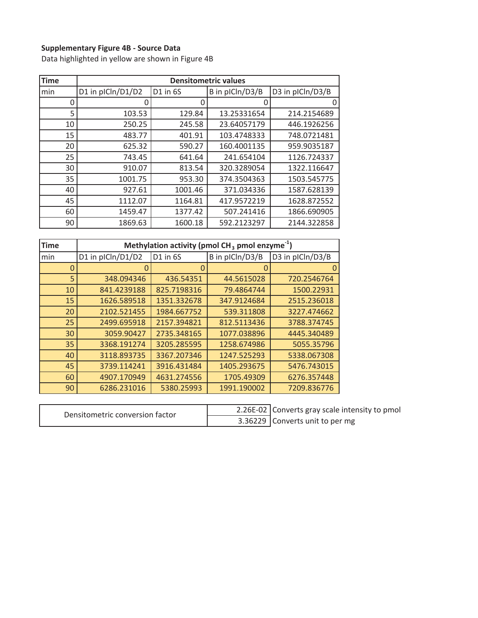#### **Supplementary Figure 4BͲSource Data**

Data highlighted in yellow are shown in Figure 4B

| <b>Time</b> |                   |          | <b>Densitometric values</b> |                  |
|-------------|-------------------|----------|-----------------------------|------------------|
| min         | D1 in plCln/D1/D2 | D1 in 6S | B in pICln/D3/B             | D3 in pICln/D3/B |
| 0           |                   | O        | U                           |                  |
| 5           | 103.53            | 129.84   | 13.25331654                 | 214.2154689      |
| 10          | 250.25            | 245.58   | 23.64057179                 | 446.1926256      |
| 15          | 483.77            | 401.91   | 103.4748333                 | 748.0721481      |
| 20          | 625.32            | 590.27   | 160.4001135                 | 959.9035187      |
| 25          | 743.45            | 641.64   | 241.654104                  | 1126.724337      |
| 30          | 910.07            | 813.54   | 320.3289054                 | 1322.116647      |
| 35          | 1001.75           | 953.30   | 374.3504363                 | 1503.545775      |
| 40          | 927.61            | 1001.46  | 371.034336                  | 1587.628139      |
| 45          | 1112.07           | 1164.81  | 417.9572219                 | 1628.872552      |
| 60          | 1459.47           | 1377.42  | 507.241416                  | 1866.690905      |
| 90          | 1869.63           | 1600.18  | 592.2123297                 | 2144.322858      |

| <b>Time</b> | Methylation activity (pmol $CH3$ pmol enzyme <sup>-1</sup> ) |             |                 |                  |  |  |  |  |  |  |  |  |
|-------------|--------------------------------------------------------------|-------------|-----------------|------------------|--|--|--|--|--|--|--|--|
| min         | D1 in plCln/D1/D2                                            | D1 in 6S    | B in pICln/D3/B | D3 in pICln/D3/B |  |  |  |  |  |  |  |  |
| 0           |                                                              | 0           |                 |                  |  |  |  |  |  |  |  |  |
| 5           | 348.094346                                                   | 436.54351   | 44.5615028      | 720.2546764      |  |  |  |  |  |  |  |  |
| 10          | 841.4239188                                                  | 825.7198316 | 79.4864744      | 1500.22931       |  |  |  |  |  |  |  |  |
| 15          | 1626.589518                                                  | 1351.332678 | 347.9124684     | 2515.236018      |  |  |  |  |  |  |  |  |
| 20          | 2102.521455                                                  | 1984.667752 | 539.311808      | 3227.474662      |  |  |  |  |  |  |  |  |
| 25          | 2499.695918                                                  | 2157.394821 | 812.5113436     | 3788.374745      |  |  |  |  |  |  |  |  |
| 30          | 3059.90427                                                   | 2735.348165 | 1077.038896     | 4445.340489      |  |  |  |  |  |  |  |  |
| 35          | 3368.191274                                                  | 3205.285595 | 1258.674986     | 5055.35796       |  |  |  |  |  |  |  |  |
| 40          | 3118.893735                                                  | 3367.207346 | 1247.525293     | 5338.067308      |  |  |  |  |  |  |  |  |
| 45          | 3739.114241                                                  | 3916.431484 | 1405.293675     | 5476.743015      |  |  |  |  |  |  |  |  |
| 60          | 4907.170949                                                  | 4631.274556 | 1705.49309      | 6276.357448      |  |  |  |  |  |  |  |  |
| 90          | 6286.231016                                                  | 5380.25993  | 1991.190002     | 7209.836776      |  |  |  |  |  |  |  |  |

| Densitometric conversion factor | 2.26E-02 Converts gray scale intensity to pmol |
|---------------------------------|------------------------------------------------|
|                                 | 3.36229 Converts unit to per mg                |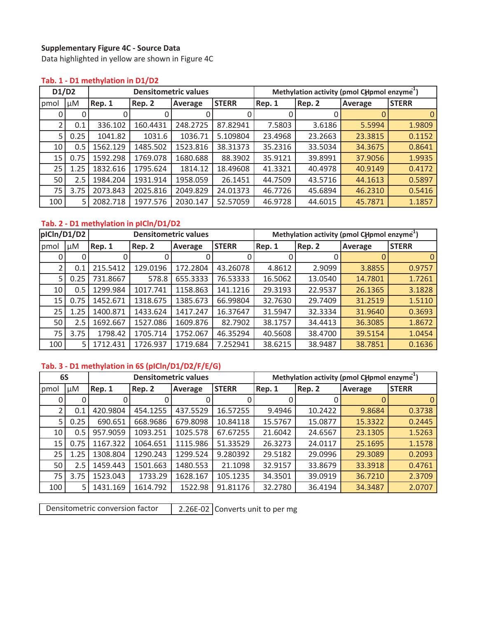#### **Supplementary Figure 4CͲSource Data**

Data highlighted in yellow are shown in Figure 4C

#### **Tab. 1ͲD1 methylation in D1/D2**

| D1/D2 |      |          |          | <b>Densitometric values</b> |              | Methylation activity (pmol CHpmol enzyme <sup>1</sup> ) |         |         |              |  |
|-------|------|----------|----------|-----------------------------|--------------|---------------------------------------------------------|---------|---------|--------------|--|
| pmol  | μM   | Rep. 1   | Rep. 2   | Average                     | <b>STERR</b> | Rep. 1                                                  | Rep. 2  | Average | <b>STERR</b> |  |
| 0     | 0    |          |          |                             |              |                                                         |         |         | $\Omega$     |  |
| ำ     | 0.1  | 336.102  | 160.4431 | 248.2725                    | 87.82941     | 7.5803                                                  | 3.6186  | 5.5994  | 1.9809       |  |
| 5     | 0.25 | 1041.82  | 1031.6   | 1036.71                     | 5.109804     | 23.4968                                                 | 23.2663 | 23.3815 | 0.1152       |  |
| 10    | 0.5  | 1562.129 | 1485.502 | 1523.816                    | 38.31373     | 35.2316                                                 | 33.5034 | 34.3675 | 0.8641       |  |
| 15    | 0.75 | 1592.298 | 1769.078 | 1680.688                    | 88.3902      | 35.9121                                                 | 39.8991 | 37.9056 | 1.9935       |  |
| 25    | 1.25 | 1832.616 | 1795.624 | 1814.12                     | 18.49608     | 41.3321                                                 | 40.4978 | 40.9149 | 0.4172       |  |
| 50    | 2.5  | 1984.204 | 1931.914 | 1958.059                    | 26.1451      | 44.7509                                                 | 43.5716 | 44.1613 | 0.5897       |  |
| 75    | 3.75 | 2073.843 | 2025.816 | 2049.829                    | 24.01373     | 46.7726                                                 | 45.6894 | 46.2310 | 0.5416       |  |
| 100   | 5    | 2082.718 | 1977.576 | 2030.147                    | 52.57059     | 46.9728                                                 | 44.6015 | 45.7871 | 1.1857       |  |

## **Tab. 2** - D1 methylation in pICln/D1/D2

| pICln/D1/D2<br><b>Densitometric values</b> |      |          |          |          | Methylation activity (pmol CHpmol enzyme <sup>1</sup> ) |         |         |         |              |
|--------------------------------------------|------|----------|----------|----------|---------------------------------------------------------|---------|---------|---------|--------------|
| pmol                                       | μM   | Rep. 1   | Rep. 2   | Average  | <b>STERR</b>                                            | Rep. 1  | Rep. 2  | Average | <b>STERR</b> |
| U                                          | 0    |          |          |          |                                                         |         |         |         | $\Omega$     |
| 2                                          | 0.1  | 215.5412 | 129.0196 | 172.2804 | 43.26078                                                | 4.8612  | 2.9099  | 3.8855  | 0.9757       |
| 5.                                         | 0.25 | 731.8667 | 578.8    | 655.3333 | 76.53333                                                | 16.5062 | 13.0540 | 14.7801 | 1.7261       |
| 10                                         | 0.5  | 1299.984 | 1017.741 | 1158.863 | 141.1216                                                | 29.3193 | 22.9537 | 26.1365 | 3.1828       |
| 15                                         | 0.75 | 1452.671 | 1318.675 | 1385.673 | 66.99804                                                | 32.7630 | 29.7409 | 31.2519 | 1.5110       |
| 25                                         | 1.25 | 1400.871 | 1433.624 | 1417.247 | 16.37647                                                | 31.5947 | 32.3334 | 31.9640 | 0.3693       |
| 50                                         | 2.5  | 1692.667 | 1527.086 | 1609.876 | 82.7902                                                 | 38.1757 | 34.4413 | 36.3085 | 1.8672       |
| 75                                         | 3.75 | 1798.42  | 1705.714 | 1752.067 | 46.35294                                                | 40.5608 | 38.4700 | 39.5154 | 1.0454       |
| 100                                        | 5    | 1712.431 | 1726.937 | 1719.684 | 7.252941                                                | 38.6215 | 38.9487 | 38.7851 | 0.1636       |

## **Tab. 3ͲD1 methylation in 6S (pICln/D1/D2/F/E/G)**

|      | 6S      |          |          | <b>Densitometric values</b> |              | Methylation activity (pmol CHpmol enzyme <sup>1</sup> ) |         |         |              |  |
|------|---------|----------|----------|-----------------------------|--------------|---------------------------------------------------------|---------|---------|--------------|--|
| pmol | $\mu$ M | Rep. 1   | Rep. 2   | Average                     | <b>STERR</b> | Rep. 1                                                  | Rep. 2  | Average | <b>STERR</b> |  |
|      | 0       |          |          |                             |              |                                                         |         |         |              |  |
|      | 0.1     | 420.9804 | 454.1255 | 437.5529                    | 16.57255     | 9.4946                                                  | 10.2422 | 9.8684  | 0.3738       |  |
| 5.   | 0.25    | 690.651  | 668.9686 | 679.8098                    | 10.84118     | 15.5767                                                 | 15.0877 | 15.3322 | 0.2445       |  |
| 10   | 0.5     | 957.9059 | 1093.251 | 1025.578                    | 67.67255     | 21.6042                                                 | 24.6567 | 23.1305 | 1.5263       |  |
| 15   | 0.75    | 1167.322 | 1064.651 | 1115.986                    | 51.33529     | 26.3273                                                 | 24.0117 | 25.1695 | 1.1578       |  |
| 25   | 1.25    | 1308.804 | 1290.243 | 1299.524                    | 9.280392     | 29.5182                                                 | 29.0996 | 29.3089 | 0.2093       |  |
| 50   | 2.5     | 1459.443 | 1501.663 | 1480.553                    | 21.1098      | 32.9157                                                 | 33.8679 | 33.3918 | 0.4761       |  |
| 75   | 3.75    | 1523.043 | 1733.29  | 1628.167                    | 105.1235     | 34.3501                                                 | 39.0919 | 36.7210 | 2.3709       |  |
| 100  | 5       | 1431.169 | 1614.792 | 1522.98                     | 91.81176     | 32.2780                                                 | 36.4194 | 34.3487 | 2.0707       |  |

Densitometric conversion factor 2.26E-02 Converts unit to per mg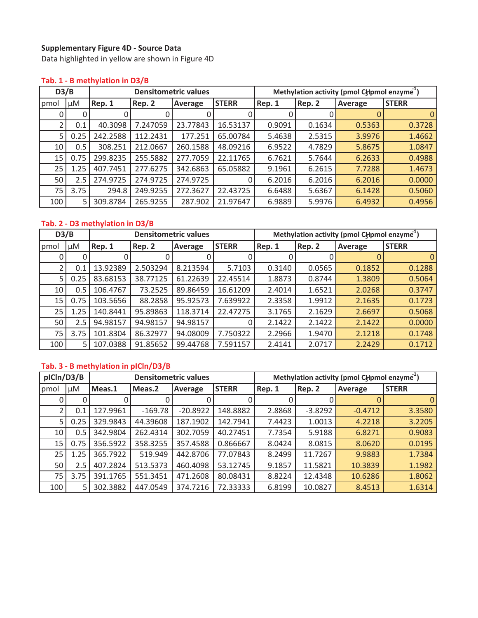## **Supplementary Figure 4D - Source Data**

Data highlighted in yellow are shown in Figure 4D

#### **Tab. 1ͲB methylation in D3/B**

| D3/B |      |          |          | <b>Densitometric values</b> |              | Methylation activity (pmol CHpmol enzyme <sup>1</sup> ) |        |         |              |  |
|------|------|----------|----------|-----------------------------|--------------|---------------------------------------------------------|--------|---------|--------------|--|
| pmol | μM   | Rep. 1   | Rep. 2   | Average                     | <b>STERR</b> | Rep. 1                                                  | Rep. 2 | Average | <b>STERR</b> |  |
|      | 0    |          |          |                             |              |                                                         |        |         | $\Omega$     |  |
|      | 0.1  | 40.3098  | 7.247059 | 23.77843                    | 16.53137     | 0.9091                                                  | 0.1634 | 0.5363  | 0.3728       |  |
| 5    | 0.25 | 242.2588 | 112.2431 | 177.251                     | 65.00784     | 5.4638                                                  | 2.5315 | 3.9976  | 1.4662       |  |
| 10   | 0.5  | 308.251  | 212.0667 | 260.1588                    | 48.09216     | 6.9522                                                  | 4.7829 | 5.8675  | 1.0847       |  |
| 15   | 0.75 | 299.8235 | 255.5882 | 277.7059                    | 22.11765     | 6.7621                                                  | 5.7644 | 6.2633  | 0.4988       |  |
| 25   | 1.25 | 407.7451 | 277.6275 | 342.6863                    | 65.05882     | 9.1961                                                  | 6.2615 | 7.7288  | 1.4673       |  |
| 50   | 2.5  | 274.9725 | 274.9725 | 274.9725                    |              | 6.2016                                                  | 6.2016 | 6.2016  | 0.0000       |  |
| 75   | 3.75 | 294.8    | 249.9255 | 272.3627                    | 22.43725     | 6.6488                                                  | 5.6367 | 6.1428  | 0.5060       |  |
| 100  | 5    | 309.8784 | 265.9255 | 287.902                     | 21.97647     | 6.9889                                                  | 5.9976 | 6.4932  | 0.4956       |  |

## **Tab. 2** - D3 methylation in D3/B

| D3/B |      | <b>Densitometric values</b> |          |          |              | Methylation activity (pmol CHpmol enzyme <sup>1</sup> ) |        |         |              |
|------|------|-----------------------------|----------|----------|--------------|---------------------------------------------------------|--------|---------|--------------|
| pmol | μM   | Rep. 1                      | Rep. 2   | Average  | <b>STERR</b> | Rep. 1                                                  | Rep. 2 | Average | <b>STERR</b> |
|      | 0    |                             |          |          |              |                                                         |        |         | $\Omega$     |
|      | 0.1  | 13.92389                    | 2.503294 | 8.213594 | 5.7103       | 0.3140                                                  | 0.0565 | 0.1852  | 0.1288       |
| 5    | 0.25 | 83.68153                    | 38.77125 | 61.22639 | 22.45514     | 1.8873                                                  | 0.8744 | 1.3809  | 0.5064       |
| 10   | 0.5  | 106.4767                    | 73.2525  | 89.86459 | 16.61209     | 2.4014                                                  | 1.6521 | 2.0268  | 0.3747       |
| 15   | 0.75 | 103.5656                    | 88.2858  | 95.92573 | 7.639922     | 2.3358                                                  | 1.9912 | 2.1635  | 0.1723       |
| 25   | 1.25 | 140.8441                    | 95.89863 | 118.3714 | 22.47275     | 3.1765                                                  | 2.1629 | 2.6697  | 0.5068       |
| 50   | 2.5  | 94.98157                    | 94.98157 | 94.98157 |              | 2.1422                                                  | 2.1422 | 2.1422  | 0.0000       |
| 75   | 3.75 | 101.8304                    | 86.32977 | 94.08009 | 7.750322     | 2.2966                                                  | 1.9470 | 2.1218  | 0.1748       |
| 100  | 5    | 107.0388                    | 91.85652 | 99.44768 | 7.591157     | 2.4141                                                  | 2.0717 | 2.2429  | 0.1712       |

## **Tab. 3ͲB methylation in pICln/D3/B**

| pICln/D3/B |      | <b>Densitometric values</b> |           |            |              | Methylation activity (pmol CHpmol enzyme <sup>1</sup> ) |           |           |              |
|------------|------|-----------------------------|-----------|------------|--------------|---------------------------------------------------------|-----------|-----------|--------------|
| pmol       | μM   | Meas.1                      | Meas.2    | Average    | <b>STERR</b> | Rep. 1                                                  | Rep. 2    | Average   | <b>STERR</b> |
|            | 0    |                             |           |            |              |                                                         |           |           |              |
|            | 0.1  | 127.9961                    | $-169.78$ | $-20.8922$ | 148.8882     | 2.8868                                                  | $-3.8292$ | $-0.4712$ | 3.3580       |
| 5          | 0.25 | 329.9843                    | 44.39608  | 187.1902   | 142.7941     | 7.4423                                                  | 1.0013    | 4.2218    | 3.2205       |
| 10         | 0.5  | 342.9804                    | 262.4314  | 302.7059   | 40.27451     | 7.7354                                                  | 5.9188    | 6.8271    | 0.9083       |
| 15         | 0.75 | 356.5922                    | 358.3255  | 357.4588   | 0.866667     | 8.0424                                                  | 8.0815    | 8.0620    | 0.0195       |
| 25         | 1.25 | 365.7922                    | 519.949   | 442.8706   | 77.07843     | 8.2499                                                  | 11.7267   | 9.9883    | 1.7384       |
| 50         | 2.5  | 407.2824                    | 513.5373  | 460.4098   | 53.12745     | 9.1857                                                  | 11.5821   | 10.3839   | 1.1982       |
| 75         | 3.75 | 391.1765                    | 551.3451  | 471.2608   | 80.08431     | 8.8224                                                  | 12.4348   | 10.6286   | 1.8062       |
| 100        | 5    | 302.3882                    | 447.0549  | 374.7216   | 72.33333     | 6.8199                                                  | 10.0827   | 8.4513    | 1.6314       |